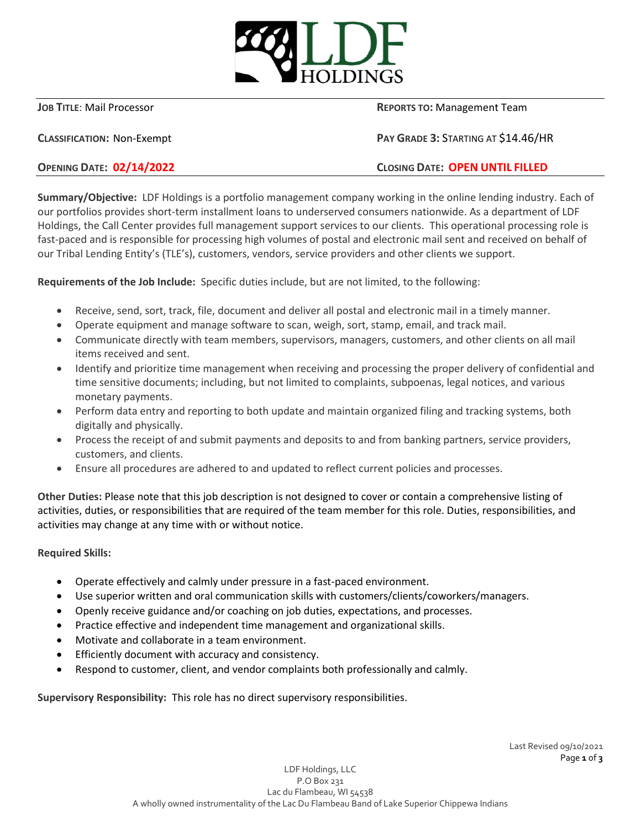

**JOB TITLE:** Mail Processor **REPORTS TO**: Management Team

**CLASSIFICATION:** Non-Exempt **PAY GRADE 3:** STARTING AT \$14.46/HR

**OPENING DATE: 02/14/2022 CLOSING DATE: OPEN UNTIL FILLED**

**Summary/Objective:** LDF Holdings is a portfolio management company working in the online lending industry. Each of our portfolios provides short-term installment loans to underserved consumers nationwide. As a department of LDF Holdings, the Call Center provides full management support services to our clients. This operational processing role is fast-paced and is responsible for processing high volumes of postal and electronic mail sent and received on behalf of our Tribal Lending Entity's (TLE's), customers, vendors, service providers and other clients we support.

**Requirements of the Job Include:** Specific duties include, but are not limited, to the following:

- Receive, send, sort, track, file, document and deliver all postal and electronic mail in a timely manner.
- Operate equipment and manage software to scan, weigh, sort, stamp, email, and track mail.
- Communicate directly with team members, supervisors, managers, customers, and other clients on all mail items received and sent.
- Identify and prioritize time management when receiving and processing the proper delivery of confidential and time sensitive documents; including, but not limited to complaints, subpoenas, legal notices, and various monetary payments.
- Perform data entry and reporting to both update and maintain organized filing and tracking systems, both digitally and physically.
- Process the receipt of and submit payments and deposits to and from banking partners, service providers, customers, and clients.
- Ensure all procedures are adhered to and updated to reflect current policies and processes.

**Other Duties:** Please note that this job description is not designed to cover or contain a comprehensive listing of activities, duties, or responsibilities that are required of the team member for this role. Duties, responsibilities, and activities may change at any time with or without notice.

**Required Skills:**

- Operate effectively and calmly under pressure in a fast-paced environment.
- Use superior written and oral communication skills with customers/clients/coworkers/managers.
- Openly receive guidance and/or coaching on job duties, expectations, and processes.
- Practice effective and independent time management and organizational skills.
- Motivate and collaborate in a team environment.
- Efficiently document with accuracy and consistency.
- Respond to customer, client, and vendor complaints both professionally and calmly.

**Supervisory Responsibility:** This role has no direct supervisory responsibilities.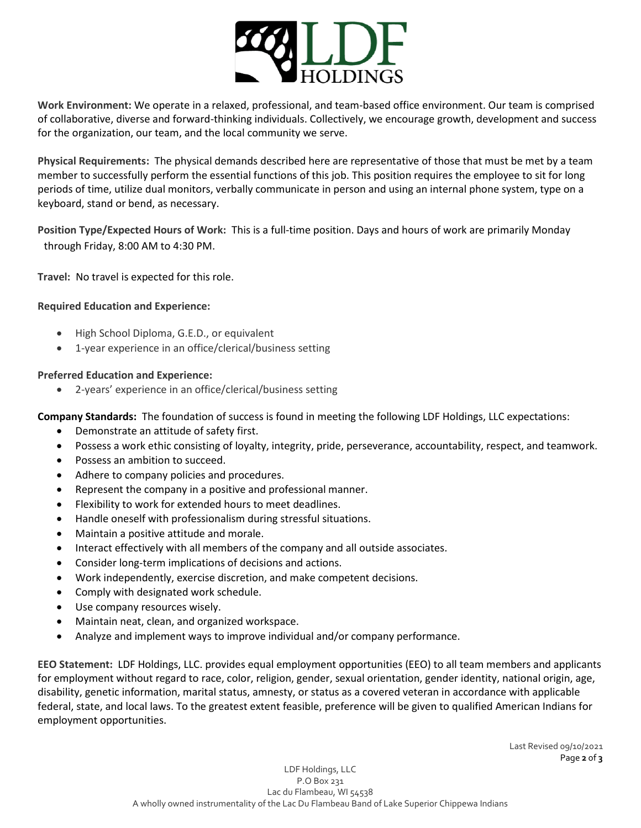

**Work Environment:** We operate in a relaxed, professional, and team-based office environment. Our team is comprised of collaborative, diverse and forward-thinking individuals. Collectively, we encourage growth, development and success for the organization, our team, and the local community we serve.

**Physical Requirements:** The physical demands described here are representative of those that must be met by a team member to successfully perform the essential functions of this job. This position requires the employee to sit for long periods of time, utilize dual monitors, verbally communicate in person and using an internal phone system, type on a keyboard, stand or bend, as necessary.

**Position Type/Expected Hours of Work:** This is a full-time position. Days and hours of work are primarily Monday through Friday, 8:00 AM to 4:30 PM.

**Travel:** No travel is expected for this role.

## **Required Education and Experience:**

- High School Diploma, G.E.D., or equivalent
- 1-year experience in an office/clerical/business setting

## **Preferred Education and Experience:**

• 2-years' experience in an office/clerical/business setting

**Company Standards:** The foundation of success is found in meeting the following LDF Holdings, LLC expectations:

- Demonstrate an attitude of safety first.
- Possess a work ethic consisting of loyalty, integrity, pride, perseverance, accountability, respect, and teamwork.
- Possess an ambition to succeed.
- Adhere to company policies and procedures.
- Represent the company in a positive and professional manner.
- Flexibility to work for extended hours to meet deadlines.
- Handle oneself with professionalism during stressful situations.
- Maintain a positive attitude and morale.
- Interact effectively with all members of the company and all outside associates.
- Consider long‐term implications of decisions and actions.
- Work independently, exercise discretion, and make competent decisions.
- Comply with designated work schedule.
- Use company resources wisely.
- Maintain neat, clean, and organized workspace.
- Analyze and implement ways to improve individual and/or company performance.

**EEO Statement:** LDF Holdings, LLC. provides equal employment opportunities (EEO) to all team members and applicants for employment without regard to race, color, religion, gender, sexual orientation, gender identity, national origin, age, disability, genetic information, marital status, amnesty, or status as a covered veteran in accordance with applicable federal, state, and local laws. To the greatest extent feasible, preference will be given to qualified American Indians for employment opportunities.

> Last Revised 09/10/2021 Page **2** of **3**